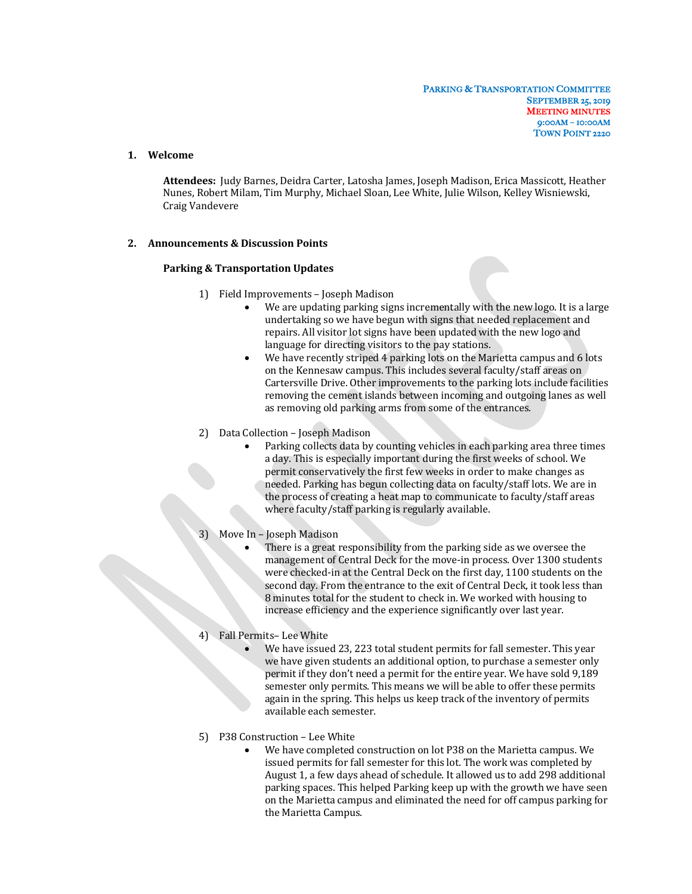# **1. Welcome**

Attendees: Judy Barnes, Deidra Carter, Latosha James, Joseph Madison, Erica Massicott, Heather Nunes, Robert Milam, Tim Murphy, Michael Sloan, Lee White, Julie Wilson, Kelley Wisniewski, Craig Vandevere

#### **2. Announcements & Discussion Points**

#### **Parking & Transportation Updates**

- 1) Field Improvements Joseph Madison
	- We are updating parking signs incrementally with the new logo. It is a large undertaking so we have begun with signs that needed replacement and repairs. All visitor lot signs have been updated with the new logo and language for directing visitors to the pay stations.
	- We have recently striped 4 parking lots on the Marietta campus and 6 lots on the Kennesaw campus. This includes several faculty/staff areas on Cartersville Drive. Other improvements to the parking lots include facilities removing the cement islands between incoming and outgoing lanes as well as removing old parking arms from some of the entrances.
- 2) Data Collection Joseph Madison
	- Parking collects data by counting vehicles in each parking area three times a day. This is especially important during the first weeks of school. We permit conservatively the first few weeks in order to make changes as needed. Parking has begun collecting data on faculty/staff lots. We are in the process of creating a heat map to communicate to faculty/staff areas where faculty/staff parking is regularly available.

# 3) Move In - Joseph Madison

- There is a great responsibility from the parking side as we oversee the management of Central Deck for the move-in process. Over 1300 students were checked-in at the Central Deck on the first day, 1100 students on the second day. From the entrance to the exit of Central Deck, it took less than 8 minutes total for the student to check in. We worked with housing to increase efficiency and the experience significantly over last year.
- 4) Fall Permits-Lee White
	- We have issued 23, 223 total student permits for fall semester. This year we have given students an additional option, to purchase a semester only permit if they don't need a permit for the entire year. We have sold 9,189 semester only permits. This means we will be able to offer these permits again in the spring. This helps us keep track of the inventory of permits available each semester.
- 5) P38 Construction Lee White
	- We have completed construction on lot P38 on the Marietta campus. We issued permits for fall semester for this lot. The work was completed by August 1, a few days ahead of schedule. It allowed us to add 298 additional parking spaces. This helped Parking keep up with the growth we have seen on the Marietta campus and eliminated the need for off campus parking for the Marietta Campus.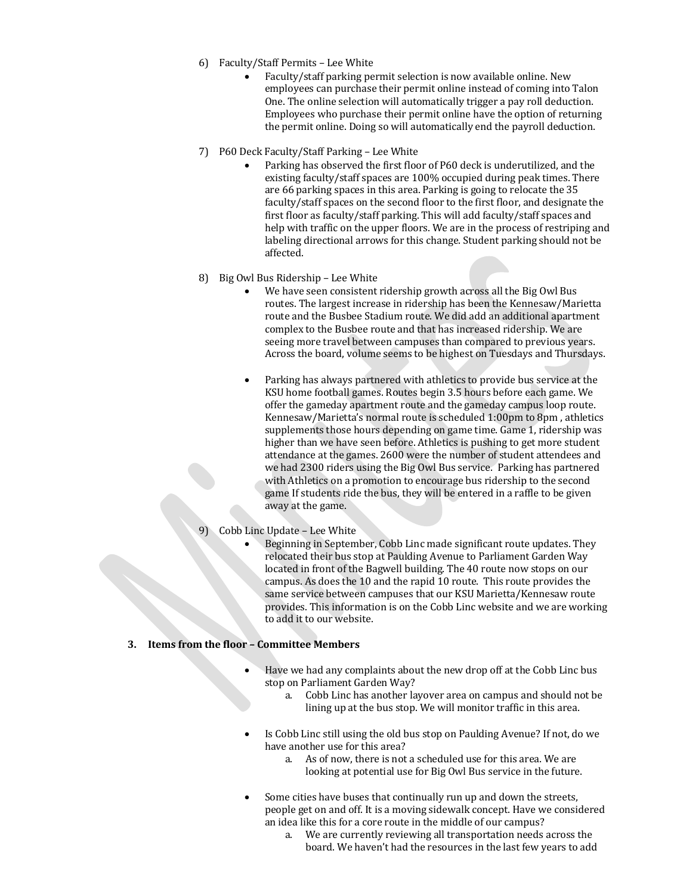- 6) Faculty/Staff Permits Lee White
	- Faculty/staff parking permit selection is now available online. New employees can purchase their permit online instead of coming into Talon One. The online selection will automatically trigger a pay roll deduction. Employees who purchase their permit online have the option of returning the permit online. Doing so will automatically end the payroll deduction.
- 7) P60 Deck Faculty/Staff Parking Lee White
	- Parking has observed the first floor of P60 deck is underutilized, and the existing faculty/staff spaces are 100% occupied during peak times. There are 66 parking spaces in this area. Parking is going to relocate the 35 faculty/staff spaces on the second floor to the first floor, and designate the first floor as faculty/staff parking. This will add faculty/staff spaces and help with traffic on the upper floors. We are in the process of restriping and labeling directional arrows for this change. Student parking should not be affected.
- 8) Big Owl Bus Ridership Lee White
	- We have seen consistent ridership growth across all the Big Owl Bus routes. The largest increase in ridership has been the Kennesaw/Marietta route and the Busbee Stadium route. We did add an additional apartment complex to the Busbee route and that has increased ridership. We are seeing more travel between campuses than compared to previous years. Across the board, volume seems to be highest on Tuesdays and Thursdays.
	- Parking has always partnered with athletics to provide bus service at the KSU home football games. Routes begin 3.5 hours before each game. We offer the gameday apartment route and the gameday campus loop route. Kennesaw/Marietta's normal route is scheduled 1:00pm to 8pm, athletics supplements those hours depending on game time. Game 1, ridership was higher than we have seen before. Athletics is pushing to get more student attendance at the games. 2600 were the number of student attendees and we had 2300 riders using the Big Owl Bus service. Parking has partnered with Athletics on a promotion to encourage bus ridership to the second game If students ride the bus, they will be entered in a raffle to be given away at the game.
- 9) Cobb Linc Update Lee White
	- Beginning in September, Cobb Linc made significant route updates. They relocated their bus stop at Paulding Avenue to Parliament Garden Way located in front of the Bagwell building. The 40 route now stops on our campus. As does the 10 and the rapid 10 route. This route provides the same service between campuses that our KSU Marietta/Kennesaw route provides. This information is on the Cobb Linc website and we are working to add it to our website.

### **3. Items from the floor – Committee Members**

- Have we had any complaints about the new drop off at the Cobb Linc bus stop on Parliament Garden Way?
	- a. Cobb Linc has another layover area on campus and should not be lining up at the bus stop. We will monitor traffic in this area.
- Is Cobb Linc still using the old bus stop on Paulding Avenue? If not, do we have another use for this area?
	- a. As of now, there is not a scheduled use for this area. We are looking at potential use for Big Owl Bus service in the future.
- Some cities have buses that continually run up and down the streets, people get on and off. It is a moving sidewalk concept. Have we considered an idea like this for a core route in the middle of our campus?
	- a. We are currently reviewing all transportation needs across the board. We haven't had the resources in the last few years to add